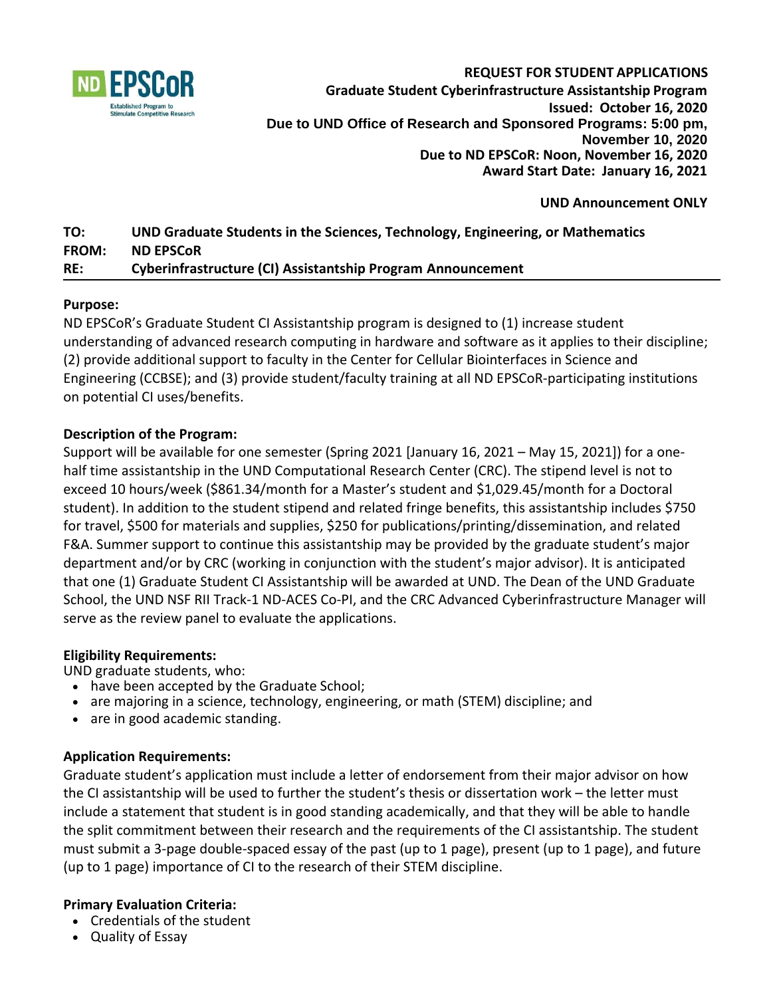

**REQUEST FOR STUDENT APPLICATIONS Graduate Student Cyberinfrastructure Assistantship Program Issued: October 16, 2020 Due to UND Office of Research and Sponsored Programs: 5:00 pm, November 10, 2020 Due to ND EPSCoR: Noon, November 16, 2020 Award Start Date: January 16, 2021**

#### **UND Announcement ONLY**

# **TO: UND Graduate Students in the Sciences, Technology, Engineering, or Mathematics FROM: ND EPSCoR RE: Cyberinfrastructure (CI) Assistantship Program Announcement**

#### **Purpose:**

ND EPSCoR's Graduate Student CI Assistantship program is designed to (1) increase student understanding of advanced research computing in hardware and software as it applies to their discipline; (2) provide additional support to faculty in the Center for Cellular Biointerfaces in Science and Engineering (CCBSE); and (3) provide student/faculty training at all ND EPSCoR-participating institutions on potential CI uses/benefits.

#### **Description of the Program:**

Support will be available for one semester (Spring 2021 [January 16, 2021 – May 15, 2021]) for a onehalf time assistantship in the UND Computational Research Center (CRC). The stipend level is not to exceed 10 hours/week (\$861.34/month for a Master's student and \$1,029.45/month for a Doctoral student). In addition to the student stipend and related fringe benefits, this assistantship includes \$750 for travel, \$500 for materials and supplies, \$250 for publications/printing/dissemination, and related F&A. Summer support to continue this assistantship may be provided by the graduate student's major department and/or by CRC (working in conjunction with the student's major advisor). It is anticipated that one (1) Graduate Student CI Assistantship will be awarded at UND. The Dean of the UND Graduate School, the UND NSF RII Track-1 ND-ACES Co-PI, and the CRC Advanced Cyberinfrastructure Manager will serve as the review panel to evaluate the applications.

#### **Eligibility Requirements:**

UND graduate students, who:

- have been accepted by the Graduate School;
- are majoring in a science, technology, engineering, or math (STEM) discipline; and
- are in good academic standing.

#### **Application Requirements:**

Graduate student's application must include a letter of endorsement from their major advisor on how the CI assistantship will be used to further the student's thesis or dissertation work – the letter must include a statement that student is in good standing academically, and that they will be able to handle the split commitment between their research and the requirements of the CI assistantship. The student must submit a 3-page double-spaced essay of the past (up to 1 page), present (up to 1 page), and future (up to 1 page) importance of CI to the research of their STEM discipline.

# **Primary Evaluation Criteria:**

- Credentials of the student
- Quality of Essay